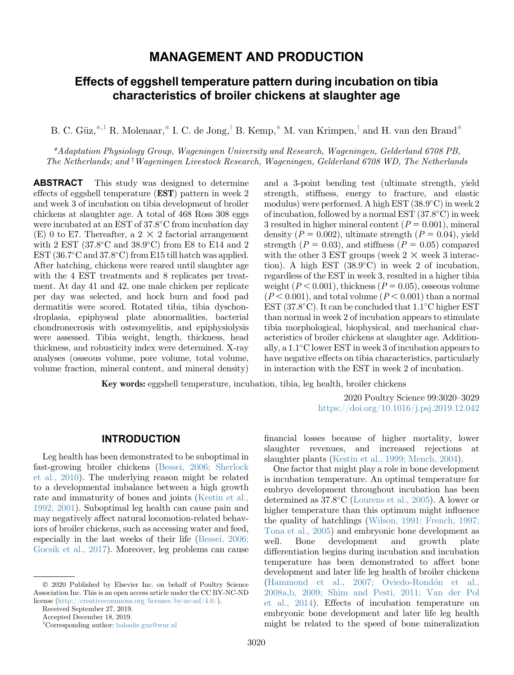# MANAGEMENT AND PRODUCTION

# Effects of eggshell temperature pattern during incubation on tibia characteristics of broiler chickens at slaughter age

B. C. Güz,  $*$ ,<sup>1</sup> R. Molenaar,  $*$  I. C. de Jong,  $*$  B. Kemp,  $*$  M. van Krimpen,  $*$  and H. van den Brand $*$ 

<span id="page-0-2"></span><span id="page-0-0"></span>\*Adaptation Physiology Group, Wageningen University and Research, Wageningen, Gelderland 6708 PB, The Netherlands; and <sup>†</sup>Wageningen Livestock Research, Wageningen, Gelderland 6708 WD, The Netherlands

ABSTRACT This study was designed to determine effects of eggshell temperature (EST) pattern in week 2 and week 3 of incubation on tibia development of broiler chickens at slaughter age. A total of 468 Ross 308 eggs were incubated at an EST of 37.8°C from incubation day (E) 0 to E7. Thereafter, a 2  $\times$  2 factorial arrangement with 2 EST  $(37.8^{\circ} \text{C} \text{ and } 38.9^{\circ} \text{C})$  from E8 to E14 and 2  $EST(36.7^{\circ} \text{C and } 37.8^{\circ} \text{C})$  from E15 till hatch was applied. After hatching, chickens were reared until slaughter age with the 4 EST treatments and 8 replicates per treatment. At day 41 and 42, one male chicken per replicate per day was selected, and hock burn and food pad dermatitis were scored. Rotated tibia, tibia dyschondroplasia, epiphyseal plate abnormalities, bacterial chondronecrosis with osteomyelitis, and epiphysiolysis were assessed. Tibia weight, length, thickness, head thickness, and robusticity index were determined. X-ray analyses (osseous volume, pore volume, total volume, volume fraction, mineral content, and mineral density)

and a 3-point bending test (ultimate strength, yield strength, stiffness, energy to fracture, and elastic modulus) were performed. A high EST (38.9°C) in week 2 of incubation, followed by a normal EST (37.8-C) in week 3 resulted in higher mineral content  $(P = 0.001)$ , mineral density ( $P = 0.002$ ), ultimate strength ( $P = 0.04$ ), yield strength ( $P = 0.03$ ), and stiffness ( $P = 0.05$ ) compared with the other 3 EST groups (week  $2 \times$  week 3 interaction). A high EST  $(38.9^{\circ}C)$  in week 2 of incubation, regardless of the EST in week 3, resulted in a higher tibia weight  $(P < 0.001)$ , thickness  $(P = 0.05)$ , osseous volume  $(P< 0.001)$ , and total volume  $(P< 0.001)$  than a normal EST  $(37.8^{\circ}C)$ . It can be concluded that  $1.1^{\circ}C$  higher EST than normal in week 2 of incubation appears to stimulate tibia morphological, biophysical, and mechanical characteristics of broiler chickens at slaughter age. Additionally, a  $1.1^{\circ}$ C lower EST in week 3 of incubation appears to have negative effects on tibia characteristics, particularly in interaction with the EST in week 2 of incubation.

Key words: eggshell temperature, incubation, tibia, leg health, broiler chickens

2020 Poultry Science 99:3020–3029 <https://doi.org/10.1016/j.psj.2019.12.042>

### INTRODUCTION

Leg health has been demonstrated to be suboptimal in fast-growing broiler chickens ([Bessei, 2006; Sherlock](#page-8-0) [et al., 2010](#page-8-0)). The underlying reason might be related to a developmental imbalance between a high growth rate and immaturity of bones and joints ([Kestin et al.,](#page-8-0) [1992, 2001](#page-8-0)). Suboptimal leg health can cause pain and may negatively affect natural locomotion-related behaviors of broiler chickens, such as accessing water and feed, especially in the last weeks of their life [\(Bessei, 2006;](#page-8-0) [Gocsik et al., 2017\)](#page-8-0). Moreover, leg problems can cause

financial losses because of higher mortality, lower slaughter revenues, and increased rejections at slaughter plants ([Kestin et al., 1999; Mench, 2004\)](#page-8-0).

One factor that might play a role in bone development is incubation temperature. An optimal temperature for embryo development throughout incubation has been determined as  $37.8^{\circ}$ C ([Lourens et al., 2005](#page-9-0)). A lower or higher temperature than this optimum might influence the quality of hatchlings [\(Wilson, 1991; French, 1997;](#page-9-0) [Tona et al., 2005\)](#page-9-0) and embryonic bone development as well. Bone development and growth plate differentiation begins during incubation and incubation temperature has been demonstrated to affect bone development and later life leg health of broiler chickens [\(Hammond et al., 2007; Oviedo-Rond](#page-8-0)ó[n et al.,](#page-8-0) [2008a,b, 2009; Shim and Pesti, 2011; Van der Pol](#page-8-0) [et al., 2014\)](#page-8-0). Effects of incubation temperature on embryonic bone development and later life leg health might be related to the speed of bone mineralization

2020 Published by Elsevier Inc. on behalf of Poultry Science Association Inc. This is an open access article under the CC BY-NC-ND license [\(http://creativecommons.org/licenses/by-nc-nd/4.0/\)](http://creativecommons.org/licenses/by-nc-nd/4.0/).

Received September 27, 2019.

Accepted December 18, 2019.

<span id="page-0-1"></span><sup>1</sup> Corresponding author: [bahadir.guz@wur.nl](mailto:bahadir.guz@wur.nl)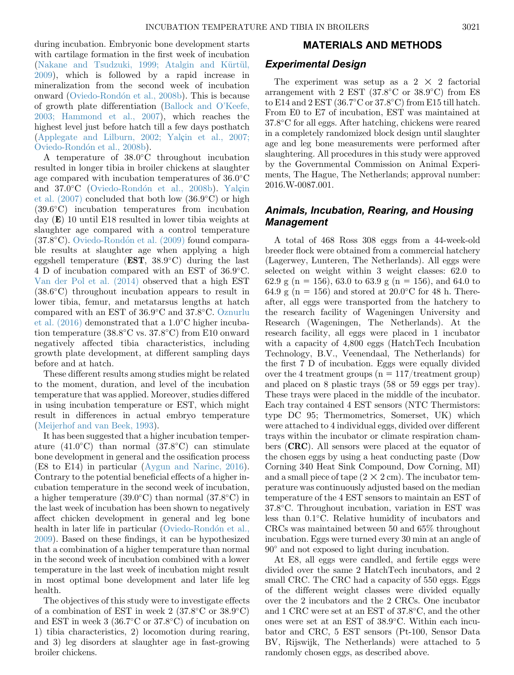during incubation. Embryonic bone development starts with cartilage formation in the first week of incubation ([Nakane and Tsudzuki, 1999; Atalgin and K](#page-9-0)ü[rt](#page-9-0)ü[l,](#page-9-0) [2009\)](#page-9-0), which is followed by a rapid increase in mineralization from the second week of incubation onward ([Oviedo-Rond](#page-9-0)ó[n et al., 2008b\)](#page-9-0). This is because of growth plate differentiation [\(Ballock and O](#page-8-0)'Keefe, [2003; Hammond et al., 2007](#page-8-0)), which reaches the highest level just before hatch till a few days posthatch ([Applegate and Lilburn, 2002; Yal](#page-8-0)ç[in et al., 2007;](#page-8-0) [Oviedo-Rond](#page-8-0)ó[n et al., 2008b\)](#page-8-0).

A temperature of 38.0°C throughout incubation resulted in longer tibia in broiler chickens at slaughter age compared with incubation temperatures of  $36.0^{\circ}$ C and 37.0°C ([Oviedo-Rond](#page-9-0)ó[n et al., 2008b](#page-9-0)). [Yal](#page-9-0)ç[in](#page-9-0) [et al. \(2007\)](#page-9-0) concluded that both low (36.9°C) or high (39.6-C) incubation temperatures from incubation day (E) 10 until E18 resulted in lower tibia weights at slaughter age compared with a control temperature  $(37.8^{\circ}C)$ . [Oviedo-Rond](#page-9-0)ón et al.  $(2009)$  found comparable results at slaughter age when applying a high eggshell temperature ( $EST$ ,  $38.9^{\circ}$ C) during the last 4 D of incubation compared with an EST of 36.9°C. [Van der Pol et al. \(2014\)](#page-9-0) observed that a high EST  $(38.6^{\circ}C)$  throughout incubation appears to result in lower tibia, femur, and metatarsus lengths at hatch compared with an EST of  $36.9^{\circ}$ C and  $37.8^{\circ}$ C. [Oznurlu](#page-9-0) et al.  $(2016)$  demonstrated that a  $1.0^{\circ}$ C higher incubation temperature  $(38.8^{\circ}$ C vs.  $37.8^{\circ}$ C) from E10 onward negatively affected tibia characteristics, including growth plate development, at different sampling days before and at hatch.

These different results among studies might be related to the moment, duration, and level of the incubation temperature that was applied. Moreover, studies differed in using incubation temperature or EST, which might result in differences in actual embryo temperature ([Meijerhof and van Beek, 1993](#page-9-0)).

It has been suggested that a higher incubation temperature (41.0 $^{\circ}$ C) than normal (37.8 $^{\circ}$ C) can stimulate bone development in general and the ossification process (E8 to E14) in particular ([Aygun and Narinc, 2016\)](#page-8-0). Contrary to the potential beneficial effects of a higher incubation temperature in the second week of incubation, a higher temperature  $(39.0^{\circ}$ C) than normal  $(37.8^{\circ}$ C) in the last week of incubation has been shown to negatively affect chicken development in general and leg bone health in later life in particular [\(Oviedo-Rond](#page-9-0)ón et al., [2009\)](#page-9-0). Based on these findings, it can be hypothesized that a combination of a higher temperature than normal in the second week of incubation combined with a lower temperature in the last week of incubation might result in most optimal bone development and later life leg health.

The objectives of this study were to investigate effects of a combination of EST in week  $2$  (37.8 $^{\circ}$ C or 38.9 $^{\circ}$ C) and EST in week  $3(36.7^{\circ} \text{C or } 37.8^{\circ} \text{C})$  of incubation on 1) tibia characteristics, 2) locomotion during rearing, and 3) leg disorders at slaughter age in fast-growing broiler chickens.

#### MATERIALS AND METHODS

#### Experimental Design

The experiment was setup as a  $2 \times 2$  factorial arrangement with 2 EST  $(37.8^{\circ} \text{C or } 38.9^{\circ} \text{C})$  from E8 to E14 and  $2$  EST (36.7°C or 37.8°C) from E15 till hatch. From E0 to E7 of incubation, EST was maintained at 37.8-C for all eggs. After hatching, chickens were reared in a completely randomized block design until slaughter age and leg bone measurements were performed after slaughtering. All procedures in this study were approved by the Governmental Commission on Animal Experiments, The Hague, The Netherlands; approval number: 2016.W-0087.001.

## Animals, Incubation, Rearing, and Housing Management

A total of 468 Ross 308 eggs from a 44-week-old breeder flock were obtained from a commercial hatchery (Lagerwey, Lunteren, The Netherlands). All eggs were selected on weight within 3 weight classes: 62.0 to 62.9 g (n = 156), 63.0 to 63.9 g (n = 156), and 64.0 to 64.9 g ( $n = 156$ ) and stored at 20.0°C for 48 h. Thereafter, all eggs were transported from the hatchery to the research facility of Wageningen University and Research (Wageningen, The Netherlands). At the research facility, all eggs were placed in 1 incubator with a capacity of 4,800 eggs (HatchTech Incubation Technology, B.V., Veenendaal, The Netherlands) for the first 7 D of incubation. Eggs were equally divided over the 4 treatment groups ( $n = 117/\text{treatment group}$ ) and placed on 8 plastic trays (58 or 59 eggs per tray). These trays were placed in the middle of the incubator. Each tray contained 4 EST sensors (NTC Thermistors: type DC 95; Thermometrics, Somerset, UK) which were attached to 4 individual eggs, divided over different trays within the incubator or climate respiration chambers (CRC). All sensors were placed at the equator of the chosen eggs by using a heat conducting paste (Dow Corning 340 Heat Sink Compound, Dow Corning, MI) and a small piece of tape  $(2 \times 2 \text{ cm})$ . The incubator temperature was continuously adjusted based on the median temperature of the 4 EST sensors to maintain an EST of 37.8-C. Throughout incubation, variation in EST was less than  $0.1^{\circ}$ C. Relative humidity of incubators and CRCs was maintained between 50 and 65% throughout incubation. Eggs were turned every 30 min at an angle of 90° and not exposed to light during incubation.

At E8, all eggs were candled, and fertile eggs were divided over the same 2 HatchTech incubators, and 2 small CRC. The CRC had a capacity of 550 eggs. Eggs of the different weight classes were divided equally over the 2 incubators and the 2 CRCs. One incubator and 1 CRC were set at an EST of 37.8°C, and the other ones were set at an EST of  $38.9^{\circ}$ C. Within each incubator and CRC, 5 EST sensors (Pt-100, Sensor Data BV, Rijswijk, The Netherlands) were attached to 5 randomly chosen eggs, as described above.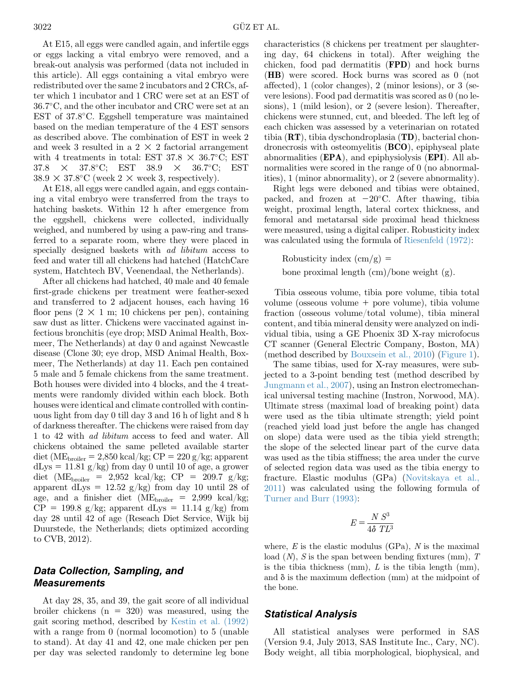At E15, all eggs were candled again, and infertile eggs or eggs lacking a vital embryo were removed, and a break-out analysis was performed (data not included in this article). All eggs containing a vital embryo were redistributed over the same 2 incubators and 2 CRCs, after which 1 incubator and 1 CRC were set at an EST of 36.7-C, and the other incubator and CRC were set at an EST of 37.8°C. Eggshell temperature was maintained based on the median temperature of the 4 EST sensors as described above. The combination of EST in week 2 and week 3 resulted in a 2  $\times$  2 factorial arrangement with 4 treatments in total: EST  $37.8 \times 36.7^{\circ}C$ ; EST  $37.8 \times 37.8^{\circ}$ C; EST  $38.9 \times 36.7^{\circ}$  $36.7^{\circ}\text{C}$ ; EST  $38.9 \times 37.8$ °C (week 2  $\times$  week 3, respectively).

At E18, all eggs were candled again, and eggs containing a vital embryo were transferred from the trays to hatching baskets. Within 12 h after emergence from the eggshell, chickens were collected, individually weighed, and numbered by using a paw-ring and transferred to a separate room, where they were placed in specially designed baskets with ad libitum access to feed and water till all chickens had hatched (HatchCare system, Hatchtech BV, Veenendaal, the Netherlands).

After all chickens had hatched, 40 male and 40 female first-grade chickens per treatment were feather-sexed and transferred to 2 adjacent houses, each having 16 floor pens  $(2 \times 1 \text{ m}; 10 \text{ chickens per pen})$ , containing saw dust as litter. Chickens were vaccinated against infectious bronchitis (eye drop; MSD Animal Health, Boxmeer, The Netherlands) at day 0 and against Newcastle disease (Clone 30; eye drop, MSD Animal Health, Boxmeer, The Netherlands) at day 11. Each pen contained 5 male and 5 female chickens from the same treatment. Both houses were divided into 4 blocks, and the 4 treatments were randomly divided within each block. Both houses were identical and climate controlled with continuous light from day 0 till day 3 and 16 h of light and 8 h of darkness thereafter. The chickens were raised from day 1 to 42 with ad libitum access to feed and water. All chickens obtained the same pelleted available starter diet (ME<sub>broiler</sub> = 2,850 kcal/kg; CP = 220 g/kg; apparent  $dLys = 11.81$  g/kg) from day 0 until 10 of age, a grower diet (ME<sub>broiler</sub> = 2,952 kcal/kg; CP = 209.7 g/kg; apparent dLys =  $12.52$  g/kg) from day 10 until 28 of age, and a finisher diet ( $ME_{\text{broiler}} = 2,999$  kcal/kg;  $\overrightarrow{CP}$  = 199.8 g/kg; apparent dLys = 11.14 g/kg) from day 28 until 42 of age (Reseach Diet Service, Wijk bij Duurstede, the Netherlands; diets optimized according to CVB, 2012).

# Data Collection, Sampling, and **Measurements**

At day 28, 35, and 39, the gait score of all individual broiler chickens  $(n = 320)$  was measured, using the gait scoring method, described by [Kestin et al. \(1992\)](#page-8-0) with a range from 0 (normal locomotion) to 5 (unable to stand). At day 41 and 42, one male chicken per pen per day was selected randomly to determine leg bone characteristics (8 chickens per treatment per slaughtering day, 64 chickens in total). After weighing the chicken, food pad dermatitis (FPD) and hock burns (HB) were scored. Hock burns was scored as 0 (not affected), 1 (color changes), 2 (minor lesions), or 3 (severe lesions). Food pad dermatitis was scored as 0 (no lesions), 1 (mild lesion), or 2 (severe lesion). Thereafter, chickens were stunned, cut, and bleeded. The left leg of each chicken was assessed by a veterinarian on rotated tibia (RT), tibia dyschondroplasia (TD), bacterial chondronecrosis with osteomyelitis (BCO), epiphyseal plate abnormalities (EPA), and epiphysiolysis (EPI). All abnormalities were scored in the range of 0 (no abnormalities), 1 (minor abnormality), or 2 (severe abnormality).

Right legs were deboned and tibias were obtained, packed, and frozen at  $-20^{\circ}$ C. After thawing, tibia weight, proximal length, lateral cortex thickness, and femoral and metatarsal side proximal head thickness were measured, using a digital caliper. Robusticity index was calculated using the formula of [Riesenfeld \(1972\)](#page-9-0):

Robusticity index  $\langle$  cm/g $\rangle$  = bone proximal length  $\text{(cm)}$ /bone weight  $\text{(g)}$ .

Tibia osseous volume, tibia pore volume, tibia total volume (osseous volume  $+$  pore volume), tibia volume fraction (osseous volume/total volume), tibia mineral content, and tibia mineral density were analyzed on individual tibia, using a GE Phoenix 3D X-ray microfocus CT scanner (General Electric Company, Boston, MA) (method described by [Bouxsein et al., 2010](#page-8-0)) ([Figure 1](#page-3-0)).

The same tibias, used for X-ray measures, were subjected to a 3-point bending test (method described by [Jungmann et al., 2007](#page-8-0)), using an Instron electromechanical universal testing machine (Instron, Norwood, MA). Ultimate stress (maximal load of breaking point) data were used as the tibia ultimate strength; yield point (reached yield load just before the angle has changed on slope) data were used as the tibia yield strength; the slope of the selected linear part of the curve data was used as the tibia stiffness; the area under the curve of selected region data was used as the tibia energy to fracture. Elastic modulus (GPa) [\(Novitskaya et al.,](#page-9-0) [2011](#page-9-0)) was calculated using the following formula of [Turner and Burr \(1993\)](#page-9-0):

$$
E = \frac{N S^3}{4 \delta T L^3}
$$

where,  $E$  is the elastic modulus (GPa),  $N$  is the maximal load  $(N)$ , S is the span between bending fixtures (mm), T is the tibia thickness (mm),  $L$  is the tibia length (mm), and  $\delta$  is the maximum deflection (mm) at the midpoint of the bone.

## Statistical Analysis

All statistical analyses were performed in SAS (Version 9.4, July 2013, SAS Institute Inc., Cary, NC). Body weight, all tibia morphological, biophysical, and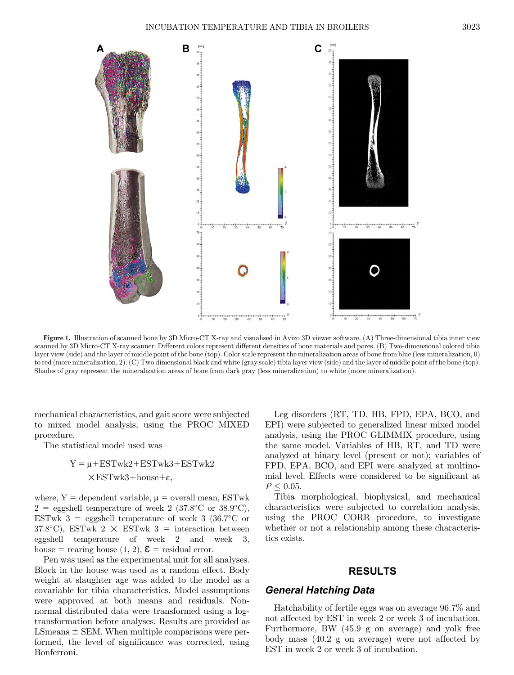<span id="page-3-0"></span>

Figure 1. Illustration of scanned bone by 3D Micro-CT X-ray and visualised in Avizo 3D viewer software. (A) Three-dimensional tibia inner view scanned by 3D Micro-CT X-ray scanner. Different colors represent different densities of bone materials and pores. (B) Two-dimensional colored tibia layer view (side) and the layer of middle point of the bone (top). Color scale represent the mineralization areas of bone from blue (less mineralization, 0) to red (more mineralization, 2). (C) Two dimensional black and white (gray scale) tibia layer view (side) and the layer of middle point of the bone (top). Shades of gray represent the mineralization areas of bone from dark gray (less mineralization) to white (more mineralization).

mechanical characteristics, and gait score were subjected to mixed model analysis, using the PROC MIXED procedure.

The statistical model used was

# $Y = \mu + ESTwk2 + ESTwk3 + ESTwk2$  $\times$ ESTwk3+house+ε,

where,  $Y =$  dependent variable,  $\mu =$  overall mean, ESTwk  $2 =$  eggshell temperature of week 2 (37.8<sup>o</sup>C or 38.9<sup>o</sup>C), ESTwk 3 = eggshell temperature of week 3 (36.7 $\degree$ C or  $37.8^{\circ}$ C), ESTwk  $2 \times$  ESTwk  $3 =$  interaction between eggshell temperature of week 2 and week 3, house = rearing house  $(1, 2)$ ,  $\mathcal{E}$  = residual error.

Pen was used as the experimental unit for all analyses. Block in the house was used as a random effect. Body weight at slaughter age was added to the model as a covariable for tibia characteristics. Model assumptions were approved at both means and residuals. Nonnormal distributed data were transformed using a logtransformation before analyses. Results are provided as LSmeans  $\pm$  SEM. When multiple comparisons were performed, the level of significance was corrected, using Bonferroni.

Leg disorders (RT, TD, HB, FPD, EPA, BCO, and EPI) were subjected to generalized linear mixed model analysis, using the PROC GLIMMIX procedure, using the same model. Variables of HB, RT, and TD were analyzed at binary level (present or not); variables of FPD, EPA, BCO, and EPI were analyzed at multinomial level. Effects were considered to be significant at  $P \leq 0.05$ .

Tibia morphological, biophysical, and mechanical characteristics were subjected to correlation analysis, using the PROC CORR procedure, to investigate whether or not a relationship among these characteristics exists.

### RESULTS

### General Hatching Data

Hatchability of fertile eggs was on average 96.7% and not affected by EST in week 2 or week 3 of incubation. Furthermore, BW (45.9 g on average) and yolk free body mass (40.2 g on average) were not affected by EST in week 2 or week 3 of incubation.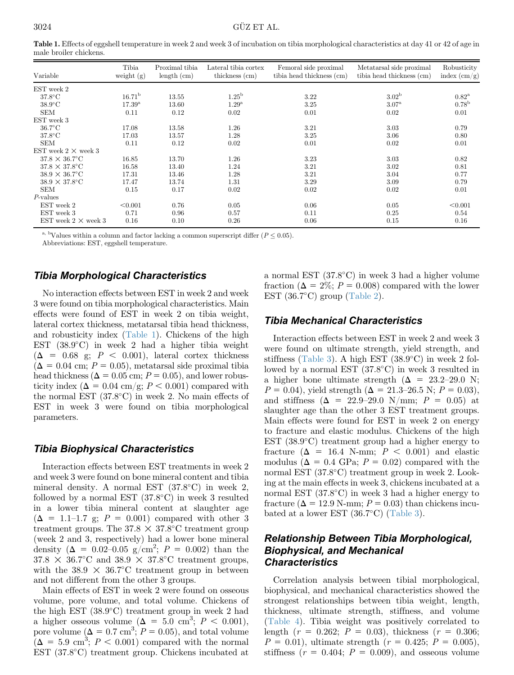Table 1. Effects of eggshell temperature in week 2 and week 3 of incubation on tibia morphological characteristics at day 41 or 42 of age in male broiler chickens.

| Variable                   | Tibia<br>weight $(g)$ | Proximal tibia<br>length (cm) | Lateral tibia cortex<br>thickness (cm) | Femoral side proximal<br>tibia head thickness (cm) | Metatarsal side proximal<br>tibia head thickness (cm) | Robusticity<br>index $\left(\frac{\text{cm}}{g}\right)$ |
|----------------------------|-----------------------|-------------------------------|----------------------------------------|----------------------------------------------------|-------------------------------------------------------|---------------------------------------------------------|
| EST week 2                 |                       |                               |                                        |                                                    |                                                       |                                                         |
| $37.8^{\circ}$ C           | $16.71^{\rm b}$       | 13.55                         | $1.25^{\rm b}$                         | 3.22                                               | 3.02 <sup>b</sup>                                     | $0.82^{\rm a}$                                          |
| $38.9^{\circ}$ C           | $17.39^{\rm a}$       | 13.60                         | 1.29 <sup>a</sup>                      | 3.25                                               | 3.07 <sup>a</sup>                                     | 0.78 <sup>b</sup>                                       |
| <b>SEM</b>                 | 0.11                  | 0.12                          | 0.02                                   | 0.01                                               | 0.02                                                  | 0.01                                                    |
| EST week 3                 |                       |                               |                                        |                                                    |                                                       |                                                         |
| $36.7^{\circ}$ C           | 17.08                 | 13.58                         | 1.26                                   | 3.21                                               | 3.03                                                  | 0.79                                                    |
| $37.8^{\circ}$ C           | 17.03                 | 13.57                         | 1.28                                   | 3.25                                               | 3.06                                                  | 0.80                                                    |
| <b>SEM</b>                 | 0.11                  | 0.12                          | 0.02                                   | 0.01                                               | 0.02                                                  | 0.01                                                    |
| EST week $2 \times$ week 3 |                       |                               |                                        |                                                    |                                                       |                                                         |
| $37.8 \times 36.7$ °C      | 16.85                 | 13.70                         | 1.26                                   | 3.23                                               | 3.03                                                  | 0.82                                                    |
| $37.8 \times 37.8$ °C      | 16.58                 | 13.40                         | 1.24                                   | 3.21                                               | 3.02                                                  | 0.81                                                    |
| $38.9 \times 36.7$ °C      | 17.31                 | 13.46                         | 1.28                                   | 3.21                                               | 3.04                                                  | 0.77                                                    |
| $38.9 \times 37.8$ °C      | 17.47                 | 13.74                         | 1.31                                   | 3.29                                               | 3.09                                                  | 0.79                                                    |
| <b>SEM</b>                 | 0.15                  | 0.17                          | 0.02                                   | 0.02                                               | 0.02                                                  | 0.01                                                    |
| $P$ -values                |                       |                               |                                        |                                                    |                                                       |                                                         |
| EST week 2                 | < 0.001               | 0.76                          | 0.05                                   | 0.06                                               | 0.05                                                  | < 0.001                                                 |
| EST week 3                 | 0.71                  | 0.96                          | 0.57                                   | 0.11                                               | 0.25                                                  | 0.54                                                    |
| EST week $2 \times$ week 3 | 0.16                  | 0.10                          | 0.26                                   | 0.06                                               | 0.15                                                  | 0.16                                                    |

<sup>a, b</sup>Values within a column and factor lacking a common superscript differ ( $P \leq 0.05$ ).

Abbreviations: EST, eggshell temperature.

# Tibia Morphological Characteristics

No interaction effects between EST in week 2 and week 3 were found on tibia morphological characteristics. Main effects were found of EST in week 2 on tibia weight, lateral cortex thickness, metatarsal tibia head thickness, and robusticity index (Table 1). Chickens of the high EST (38.9°C) in week 2 had a higher tibia weight  $(\Delta = 0.68 \text{ g}; P < 0.001)$ , lateral cortex thickness  $(\Delta = 0.04$  cm;  $P = 0.05$ ), metatarsal side proximal tibia head thickness ( $\Delta = 0.05$  cm;  $P = 0.05$ ), and lower robusticity index ( $\Delta = 0.04$  cm/g;  $P < 0.001$ ) compared with the normal EST  $(37.8^{\circ}C)$  in week 2. No main effects of EST in week 3 were found on tibia morphological parameters.

# Tibia Biophysical Characteristics

Interaction effects between EST treatments in week 2 and week 3 were found on bone mineral content and tibia mineral density. A normal EST  $(37.8^{\circ}C)$  in week 2, followed by a normal EST  $(37.8^{\circ}C)$  in week 3 resulted in a lower tibia mineral content at slaughter age  $(\Delta = 1.1$ –1.7 g;  $P = 0.001$  compared with other 3 treatment groups. The  $37.8 \times 37.8^{\circ}$ C treatment group (week 2 and 3, respectively) had a lower bone mineral density ( $\Delta = 0.02{\text -}0.05 \text{ g/cm}^2$ ;  $P = 0.002$ ) than the  $37.8 \times 36.7^{\circ}$ C and  $38.9 \times 37.8^{\circ}$ C treatment groups, with the  $38.9 \times 36.7^{\circ}$ C treatment group in between and not different from the other 3 groups.

Main effects of EST in week 2 were found on osseous volume, pore volume, and total volume. Chickens of the high EST  $(38.9^{\circ}C)$  treatment group in week 2 had a higher osseous volume  $(\Delta = 5.0 \text{ cm}^3; P < 0.001)$ , pore volume  $(\Delta = 0.7 \text{ cm}^3)$ ;  $P = 0.05$ , and total volume  $(\Delta = 5.9 \text{ cm}^3; P < 0.001)$  compared with the normal EST (37.8°C) treatment group. Chickens incubated at

a normal EST  $(37.8^{\circ}C)$  in week 3 had a higher volume fraction ( $\Delta = 2\%$ ;  $P = 0.008$ ) compared with the lower EST  $(36.7^{\circ} \text{C})$  group [\(Table 2\)](#page-5-0).

# Tibia Mechanical Characteristics

Interaction effects between EST in week 2 and week 3 were found on ultimate strength, yield strength, and stiffness ([Table 3](#page-5-0)). A high EST  $(38.9^{\circ}C)$  in week 2 followed by a normal EST  $(37.8^{\circ}C)$  in week 3 resulted in a higher bone ultimate strength ( $\Delta = 23.2{\text -}29.0$  N;  $P = 0.04$ , yield strength ( $\Delta = 21.3{\text -}26.5$  N;  $P = 0.03$ ), and stiffness ( $\Delta = 22.9{\text -}29.0 \text{ N/mm}$ ;  $P = 0.05$ ) at slaughter age than the other 3 EST treatment groups. Main effects were found for EST in week 2 on energy to fracture and elastic modulus. Chickens of the high EST  $(38.9^{\circ}C)$  treatment group had a higher energy to fracture ( $\Delta$  = 16.4 N-mm;  $P$  < 0.001) and elastic modulus ( $\Delta = 0.4$  GPa;  $P = 0.02$ ) compared with the normal EST (37.8°C) treatment group in week 2. Looking at the main effects in week 3, chickens incubated at a normal EST  $(37.8^{\circ}C)$  in week 3 had a higher energy to fracture ( $\Delta = 12.9$  N-mm;  $P = 0.03$ ) than chickens incubated at a lower EST  $(36.7^{\circ}C)$  ([Table 3](#page-5-0)).

# Relationship Between Tibia Morphological, Biophysical, and Mechanical **Characteristics**

Correlation analysis between tibial morphological, biophysical, and mechanical characteristics showed the strongest relationships between tibia weight, length, thickness, ultimate strength, stiffness, and volume [\(Table 4](#page-6-0)). Tibia weight was positively correlated to length  $(r = 0.262; P = 0.03)$ , thickness  $(r = 0.306;$  $P = 0.01$ , ultimate strength ( $r = 0.425$ ;  $P = 0.005$ ), stiffness  $(r = 0.404; P = 0.009)$ , and osseous volume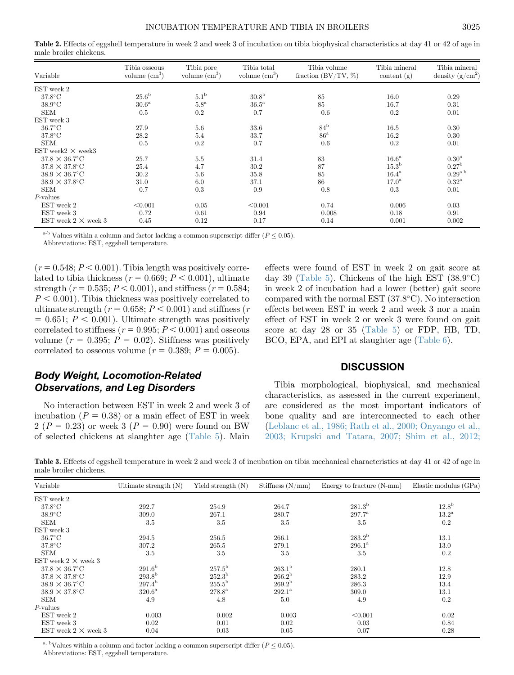<span id="page-5-0"></span>Table 2. Effects of eggshell temperature in week 2 and week 3 of incubation on tibia biophysical characteristics at day 41 or 42 of age in male broiler chickens.

| Variable                     | Tibia osseous<br>volume $\rm(cm^3)$ | Tibia pore<br>volume $\rm(cm^3)$ | Tibia total<br>volume $\text{cm}^3$ ) | Tibia volume<br>fraction $(BV/TV, %)$ | Tibia mineral<br>content $(g)$ | Tibia mineral<br>density $(g/cm^2)$ |
|------------------------------|-------------------------------------|----------------------------------|---------------------------------------|---------------------------------------|--------------------------------|-------------------------------------|
| EST week 2                   |                                     |                                  |                                       |                                       |                                |                                     |
| $37.8^{\circ}$ C             | 25.6 <sup>b</sup>                   | 5.1 <sup>b</sup>                 | 30.8 <sup>b</sup>                     | 85                                    | 16.0                           | 0.29                                |
| $38.9^{\circ}$ C             | 30.6 <sup>a</sup>                   | $5.8^{\mathrm{a}}$               | $36.5^{\mathrm{a}}$                   | 85                                    | 16.7                           | 0.31                                |
| <b>SEM</b>                   | 0.5                                 | 0.2                              | 0.7                                   | 0.6                                   | 0.2                            | 0.01                                |
| EST week 3                   |                                     |                                  |                                       |                                       |                                |                                     |
| $36.7^{\circ}$ C             | 27.9                                | 5.6                              | 33.6                                  | $84^{\rm b}$                          | 16.5                           | 0.30                                |
| $37.8^{\circ}$ C             | 28.2                                | 5.4                              | 33.7                                  | 86 <sup>a</sup>                       | 16.2                           | 0.30                                |
| <b>SEM</b>                   | 0.5                                 | 0.2                              | 0.7                                   | 0.6                                   | 0.2                            | 0.01                                |
| EST week $2 \times$ week $3$ |                                     |                                  |                                       |                                       |                                |                                     |
| $37.8 \times 36.7$ °C        | 25.7                                | 5.5                              | 31.4                                  | 83                                    | $16.6^{\mathrm{a}}$            | $0.30^{\mathrm{a}}$                 |
| $37.8 \times 37.8$ °C        | 25.4                                | 4.7                              | 30.2                                  | 87                                    | $15.3^{\rm b}$                 | 0.27 <sup>b</sup>                   |
| $38.9 \times 36.7$ °C        | 30.2                                | 5.6                              | 35.8                                  | 85                                    | $16.4^{\mathrm{a}}$            | $0.29^{a,b}$                        |
| $38.9 \times 37.8$ °C        | 31.0                                | 6.0                              | 37.1                                  | 86                                    | 17.0 <sup>a</sup>              | $0.32^{\mathrm{a}}$                 |
| <b>SEM</b>                   | 0.7                                 | 0.3                              | 0.9                                   | 0.8                                   | 0.3                            | 0.01                                |
| $P$ -values                  |                                     |                                  |                                       |                                       |                                |                                     |
| EST week 2                   | < 0.001                             | 0.05                             | < 0.001                               | 0.74                                  | 0.006                          | 0.03                                |
| EST week 3                   | 0.72                                | 0.61                             | 0.94                                  | 0.008                                 | 0.18                           | 0.91                                |
| EST week $2 \times$ week 3   | 0.45                                | 0.12                             | 0.17                                  | 0.14                                  | 0.001                          | 0.002                               |

<sup>a-b</sup> Values within a column and factor lacking a common superscript differ ( $P \leq 0.05$ ).

Abbreviations: EST, eggshell temperature.

 $(r = 0.548; P < 0.001)$ . Tibia length was positively correlated to tibia thickness ( $r = 0.669$ ;  $P < 0.001$ ), ultimate strength ( $r = 0.535; P < 0.001$ ), and stiffness ( $r = 0.584;$  $P < 0.001$ . Tibia thickness was positively correlated to ultimate strength ( $r = 0.658$ ;  $P < 0.001$ ) and stiffness (r  $= 0.651; P < 0.001$ . Ultimate strength was positively correlated to stiffness ( $r = 0.995$ ;  $P < 0.001$ ) and osseous volume ( $r = 0.395$ ;  $P = 0.02$ ). Stiffness was positively correlated to osseous volume ( $r = 0.389$ ;  $P = 0.005$ ).

# Body Weight, Locomotion-Related Observations, and Leg Disorders

No interaction between EST in week 2 and week 3 of incubation ( $P = 0.38$ ) or a main effect of EST in week 2 ( $P = 0.23$ ) or week 3 ( $P = 0.90$ ) were found on BW of selected chickens at slaughter age ([Table 5\)](#page-6-0). Main

effects were found of EST in week 2 on gait score at day 39 ([Table 5](#page-6-0)). Chickens of the high EST  $(38.9^{\circ}C)$ in week 2 of incubation had a lower (better) gait score compared with the normal EST  $(37.8^{\circ}C)$ . No interaction effects between EST in week 2 and week 3 nor a main effect of EST in week 2 or week 3 were found on gait score at day 28 or 35 [\(Table 5](#page-6-0)) or FDP, HB, TD, BCO, EPA, and EPI at slaughter age [\(Table 6](#page-7-0)).

### **DISCUSSION**

Tibia morphological, biophysical, and mechanical characteristics, as assessed in the current experiment, are considered as the most important indicators of bone quality and are interconnected to each other [\(Leblanc et al., 1986; Rath et al., 2000; Onyango et al.,](#page-9-0) [2003; Krupski and Tatara, 2007; Shim et al., 2012;](#page-9-0)

Table 3. Effects of eggshell temperature in week 2 and week 3 of incubation on tibia mechanical characteristics at day 41 or 42 of age in male broiler chickens.

| Variable                   | Ultimate strength $(N)$ | Yield strength $(N)$ | Stiffness $(N/mm)$ | Energy to fracture (N-mm) | Elastic modulus (GPa) |
|----------------------------|-------------------------|----------------------|--------------------|---------------------------|-----------------------|
| EST week 2                 |                         |                      |                    |                           |                       |
| $37.8^{\circ}$ C           | 292.7                   | 254.9                | 264.7              | $281.3^{b}$               | 12.8 <sup>b</sup>     |
| $38.9^{\circ}$ C           | 309.0                   | 267.1                | 280.7              | $297.7^{\rm a}$           | $13.2^{\rm a}$        |
| <b>SEM</b>                 | 3.5                     | 3.5                  | 3.5                | 3.5                       | 0.2                   |
| EST week 3                 |                         |                      |                    |                           |                       |
| $36.7^{\circ}$ C           | 294.5                   | 256.5                | 266.1              | $283.2^{\rm b}$           | 13.1                  |
| $37.8^{\circ}$ C           | 307.2                   | 265.5                | 279.1              | $296.1^{\rm a}$           | 13.0                  |
| <b>SEM</b>                 | 3.5                     | 3.5                  | 3.5                | 3.5                       | $0.2\,$               |
| EST week $2 \times$ week 3 |                         |                      |                    |                           |                       |
| $37.8 \times 36.7$ °C      | 291.6 <sup>b</sup>      | $257.5^{\rm b}$      | $263.1^{\rm b}$    | 280.1                     | 12.8                  |
| $37.8 \times 37.8$ °C      | $293.8^{b}$             | $252.3^{b}$          | $266.2^{\rm b}$    | 283.2                     | 12.9                  |
| $38.9 \times 36.7$ °C      | $297.4^{\rm b}$         | $255.5^{\rm h}$      | $269.2^{\rm b}$    | 286.3                     | 13.4                  |
| $38.9 \times 37.8$ °C      | $320.6^{\rm a}$         | $278.8^{\rm a}$      | $292.1^{\rm a}$    | 309.0                     | 13.1                  |
| <b>SEM</b>                 | 4.9                     | 4.8                  | 5.0                | 4.9                       | $0.2\,$               |
| $P$ -values                |                         |                      |                    |                           |                       |
| EST week 2                 | 0.003                   | 0.002                | 0.003              | < 0.001                   | 0.02                  |
| EST week 3                 | 0.02                    | 0.01                 | 0.02               | 0.03                      | 0.84                  |
| EST week $2 \times$ week 3 | 0.04                    | 0.03                 | 0.05               | 0.07                      | 0.28                  |

<sup>a, b</sup>Values within a column and factor lacking a common superscript differ ( $P \leq 0.05$ ). Abbreviations: EST, eggshell temperature.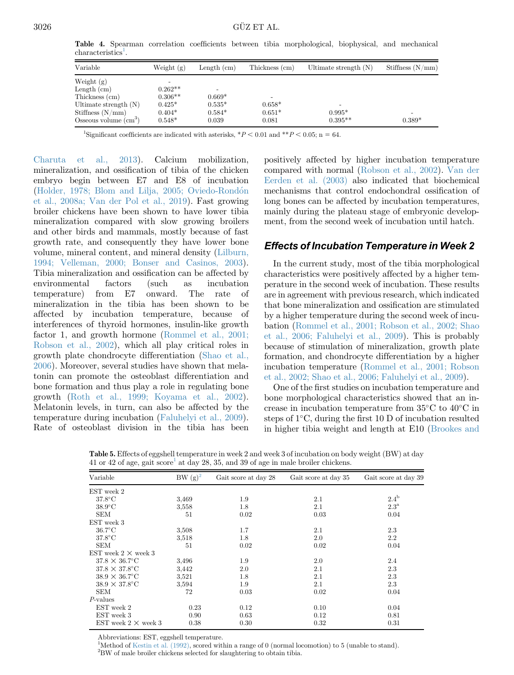<span id="page-6-0"></span>Table 4. Spearman correlation coefficients between tibia morphological, biophysical, and mechanical  $\aracteristics<sup>1</sup>$ .

| Variable                     | Weight $(g)$ | Length $(cm)$ | Thickness (cm) | Ultimate strength $(N)$ | Stiffness $(N/mm)$ |
|------------------------------|--------------|---------------|----------------|-------------------------|--------------------|
| Weight $(g)$                 |              |               |                |                         |                    |
| Length (cm)                  | $0.262**$    |               |                |                         |                    |
| Thickness (cm)               | $0.306**$    | $0.669*$      |                |                         |                    |
| Ultimate strength $(N)$      | $0.425*$     | $0.535*$      | $0.658*$       |                         |                    |
| Stiffness $(N/mm)$           | $0.404*$     | $0.584*$      | $0.651*$       | $0.995*$                |                    |
| Osseous volume $\text{cm}^3$ | $0.548*$     | 0.039         | 0.081          | $0.395**$               | $0.389*$           |

<sup>1</sup>Significant coefficients are indicated with asterisks,  $*P < 0.01$  and  $*P < 0.05$ ; n = 64.

[Charuta et al., 2013](#page-9-0)). Calcium mobilization, mineralization, and ossification of tibia of the chicken embryo begin between E7 and E8 of incubation ([Holder, 1978; Blom and Lilja, 2005; Oviedo-Rond](#page-8-0)ó[n](#page-8-0) [et al., 2008a; Van der Pol et al., 2019\)](#page-8-0). Fast growing broiler chickens have been shown to have lower tibia mineralization compared with slow growing broilers and other birds and mammals, mostly because of fast growth rate, and consequently they have lower bone volume, mineral content, and mineral density [\(Lilburn,](#page-9-0) [1994; Velleman, 2000; Bonser and Casinos, 2003\)](#page-9-0). Tibia mineralization and ossification can be affected by environmental factors (such as incubation temperature) from E7 onward. The rate of mineralization in the tibia has been shown to be affected by incubation temperature, because of interferences of thyroid hormones, insulin-like growth factor 1, and growth hormone ([Rommel et al., 2001;](#page-9-0) [Robson et al., 2002](#page-9-0)), which all play critical roles in growth plate chondrocyte differentiation ([Shao et al.,](#page-9-0) [2006\)](#page-9-0). Moreover, several studies have shown that melatonin can promote the osteoblast differentiation and bone formation and thus play a role in regulating bone growth ([Roth et al., 1999; Koyama et al., 2002\)](#page-9-0). Melatonin levels, in turn, can also be affected by the temperature during incubation ([Faluhelyi et al., 2009\)](#page-8-0). Rate of osteoblast division in the tibia has been

positively affected by higher incubation temperature compared with normal [\(Robson et al., 2002\)](#page-9-0). [Van der](#page-9-0) [Eerden et al. \(2003\)](#page-9-0) also indicated that biochemical mechanisms that control endochondral ossification of long bones can be affected by incubation temperatures, mainly during the plateau stage of embryonic development, from the second week of incubation until hatch.

## Effects of Incubation Temperature in Week 2

In the current study, most of the tibia morphological characteristics were positively affected by a higher temperature in the second week of incubation. These results are in agreement with previous research, which indicated that bone mineralization and ossification are stimulated by a higher temperature during the second week of incubation ([Rommel et al., 2001; Robson et al., 2002; Shao](#page-9-0) [et al., 2006; Faluhelyi et al., 2009](#page-9-0)). This is probably because of stimulation of mineralization, growth plate formation, and chondrocyte differentiation by a higher incubation temperature ([Rommel et al., 2001; Robson](#page-9-0) [et al., 2002; Shao et al., 2006; Faluhelyi et al., 2009](#page-9-0)).

One of the first studies on incubation temperature and bone morphological characteristics showed that an increase in incubation temperature from  $35^{\circ}$ C to  $40^{\circ}$ C in steps of 1<sup>°</sup>C, during the first 10 D of incubation resulted in higher tibia weight and length at E10 ([Brookes and](#page-8-0)

| Variable                   | $BW(g)^2$ | Gait score at day 28 | Gait score at day 35 | Gait score at day 39 |
|----------------------------|-----------|----------------------|----------------------|----------------------|
| EST week 2                 |           |                      |                      |                      |
| $37.8$ °C                  | 3.469     | 1.9                  | 2.1                  | $2.4^{\rm b}$        |
| $38.9^{\circ}$ C           | 3,558     | 1.8                  | 2.1                  | $2.3^{\rm a}$        |
| <b>SEM</b>                 | 51        | 0.02                 | 0.03                 | 0.04                 |
| EST week 3                 |           |                      |                      |                      |
| $36.7^{\circ}$ C           | 3,508     | 1.7                  | 2.1                  | 2.3                  |
| $37.8^{\circ}$ C           | 3.518     | 1.8                  | 2.0                  | 2.2                  |
| <b>SEM</b>                 | 51        | 0.02                 | 0.02                 | 0.04                 |
| EST week $2 \times$ week 3 |           |                      |                      |                      |
| $37.8 \times 36.7$ °C      | 3,496     | 1.9                  | 2.0                  | 2.4                  |
| $37.8 \times 37.8$ °C      | 3,442     | $2.0\,$              | 2.1                  | 2.3                  |
| $38.9 \times 36.7$ °C      | 3,521     | 1.8                  | 2.1                  | 2.3                  |
| $38.9 \times 37.8$ °C      | 3,594     | 1.9                  | 2.1                  | 2.3                  |
| <b>SEM</b>                 | 72        | 0.03                 | 0.02                 | 0.04                 |
| $P$ -values                |           |                      |                      |                      |
| EST week 2                 | 0.23      | 0.12                 | 0.10                 | 0.04                 |
| EST week 3                 | 0.90      | 0.63                 | 0.12                 | 0.81                 |
| EST week $2 \times$ week 3 | 0.38      | 0.30                 | 0.32                 | 0.31                 |

Table 5. Effects of eggshell temperature in week 2 and week 3 of incubation on body weight (BW) at day 41 or 42 of age, gait  $\text{score}^1$  at day 28, 35, and 39 of age in male broiler chickens.

Abbreviations: EST, eggshell temperature.

<sup>1</sup>Method of [Kestin et al. \(1992\),](#page-8-0) scored within a range of 0 (normal locomotion) to 5 (unable to stand).  ${\rm ^2BW}$  of male broiler chickens selected for slaughtering to obtain tibia.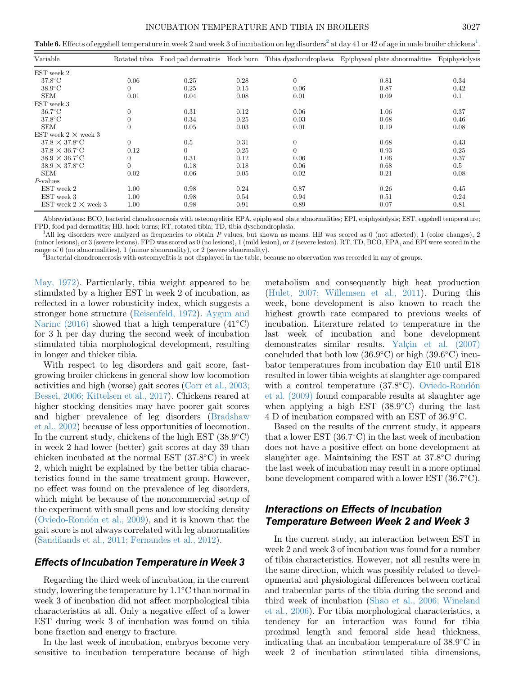<span id="page-7-0"></span>Table 6. Effects of eggshell temperature in week 2 and week 3 of incubation on leg disorders<sup>2</sup> at day 41 or 42 of age in male broiler chickens<sup>1</sup>.

| Variable                   | Rotated tibia | Food pad dermatitis Hock burn |      |                  | Tibia dyschondroplasia Epiphyseal plate abnormalities | Epiphysiolysis |
|----------------------------|---------------|-------------------------------|------|------------------|-------------------------------------------------------|----------------|
| EST week 2                 |               |                               |      |                  |                                                       |                |
| $37.8^{\circ}$ C           | 0.06          | 0.25                          | 0.28 | $\overline{0}$   | 0.81                                                  | 0.34           |
| $38.9^{\circ}$ C           | 0             | 0.25                          | 0.15 | 0.06             | 0.87                                                  | 0.42           |
| <b>SEM</b>                 | 0.01          | 0.04                          | 0.08 | 0.01             | 0.09                                                  | 0.1            |
| EST week 3                 |               |                               |      |                  |                                                       |                |
| $36.7^{\circ}$ C           | $\Omega$      | 0.31                          | 0.12 | 0.06             | 1.06                                                  | 0.37           |
| $37.8^{\circ}$ C           |               | 0.34                          | 0.25 | 0.03             | 0.68                                                  | 0.46           |
| <b>SEM</b>                 | $\Omega$      | 0.05                          | 0.03 | 0.01             | 0.19                                                  | 0.08           |
| EST week $2 \times$ week 3 |               |                               |      |                  |                                                       |                |
| $37.8 \times 37.8$ °C      | $\Omega$      | 0.5                           | 0.31 | $\boldsymbol{0}$ | 0.68                                                  | 0.43           |
| $37.8 \times 36.7$ °C      | 0.12          | $\Omega$                      | 0.25 | $\Omega$         | 0.93                                                  | 0.25           |
| $38.9 \times 36.7$ °C      |               | 0.31                          | 0.12 | 0.06             | 1.06                                                  | 0.37           |
| $38.9 \times 37.8$ °C      |               | 0.18                          | 0.18 | 0.06             | 0.68                                                  | 0.5            |
| <b>SEM</b>                 | 0.02          | 0.06                          | 0.05 | 0.02             | 0.21                                                  | 0.08           |
| $P$ -values                |               |                               |      |                  |                                                       |                |
| EST week 2                 | 1.00          | 0.98                          | 0.24 | 0.87             | 0.26                                                  | 0.45           |
| EST week 3                 | 1.00          | 0.98                          | 0.54 | 0.94             | 0.51                                                  | 0.24           |
| EST week $2 \times$ week 3 | 1.00          | 0.98                          | 0.91 | 0.89             | 0.07                                                  | 0.81           |

Abbreviations: BCO, bacterial chondronecrosis with osteomyelitis; EPA, epiphyseal plate abnormalities; EPI, epiphysiolysis; EST, eggshell temperature; FPD, food pad dermatitis; HB, hock burns; RT, rotated tibia; TD, tibia dyschondroplasia. <sup>1</sup>

<sup>1</sup>All leg disorders were analyzed as frequencies to obtain P values, but shown as means. HB was scored as 0 (not affected), 1 (color changes), 2 (minor lesions), or 3 (severe lesions). FPD was scored as 0 (no lesions), 1 (mild lesion), or 2 (severe lesion). RT, TD, BCO, EPA, and EPI were scored in the range of 0 (no abnormalities), 1 (minor abnormality), or 2 (severe abnormality).

Bacterial chondronecrosis with osteomyelitis is not displayed in the table, because no observation was recorded in any of groups.

[May, 1972](#page-8-0)). Particularly, tibia weight appeared to be stimulated by a higher EST in week 2 of incubation, as reflected in a lower robusticity index, which suggests a stronger bone structure ([Reisenfeld, 1972\)](#page-9-0). [Aygun and](#page-8-0) [Narinc \(2016\)](#page-8-0) showed that a high temperature  $(41^{\circ}C)$ for 3 h per day during the second week of incubation stimulated tibia morphological development, resulting in longer and thicker tibia.

With respect to leg disorders and gait score, fastgrowing broiler chickens in general show low locomotion activities and high (worse) gait scores [\(Corr et al., 2003;](#page-8-0) [Bessei, 2006; Kittelsen et al., 2017\)](#page-8-0). Chickens reared at higher stocking densities may have poorer gait scores and higher prevalence of leg disorders ([Bradshaw](#page-8-0) [et al., 2002\)](#page-8-0) because of less opportunities of locomotion. In the current study, chickens of the high EST  $(38.9^{\circ} \text{C})$ in week 2 had lower (better) gait scores at day 39 than chicken incubated at the normal EST  $(37.8^{\circ}C)$  in week 2, which might be explained by the better tibia characteristics found in the same treatment group. However, no effect was found on the prevalence of leg disorders, which might be because of the noncommercial setup of the experiment with small pens and low stocking density ([Oviedo-Rond](#page-9-0)ó[n et al., 2009](#page-9-0)), and it is known that the gait score is not always correlated with leg abnormalities ([Sandilands et al., 2011; Fernandes et al., 2012\)](#page-9-0).

## Effects of Incubation Temperature in Week 3

Regarding the third week of incubation, in the current study, lowering the temperature by  $1.1^{\circ}$ C than normal in week 3 of incubation did not affect morphological tibia characteristics at all. Only a negative effect of a lower EST during week 3 of incubation was found on tibia bone fraction and energy to fracture.

In the last week of incubation, embryos become very sensitive to incubation temperature because of high metabolism and consequently high heat production [\(Hulet, 2007; Willemsen et al., 2011\)](#page-8-0). During this week, bone development is also known to reach the highest growth rate compared to previous weeks of incubation. Literature related to temperature in the last week of incubation and bone development demonstrates similar results. [Yal](#page-9-0)ç[in et al. \(2007\)](#page-9-0) concluded that both low  $(36.9^{\circ}C)$  or high  $(39.6^{\circ}C)$  incubator temperatures from incubation day E10 until E18 resulted in lower tibia weights at slaughter age compared with a c[on](#page-9-0)trol temperature  $(37.8^{\circ}C)$ . [Oviedo-Rond](#page-9-0)ón [et al. \(2009\)](#page-9-0) found comparable results at slaughter age when applying a high EST  $(38.9^{\circ}C)$  during the last 4 D of incubation compared with an EST of 36.9°C.

Based on the results of the current study, it appears that a lower EST  $(36.7^{\circ}C)$  in the last week of incubation does not have a positive effect on bone development at slaughter age. Maintaining the EST at 37.8°C during the last week of incubation may result in a more optimal bone development compared with a lower EST (36.7°C).

# Interactions on Effects of Incubation Temperature Between Week 2 and Week 3

In the current study, an interaction between EST in week 2 and week 3 of incubation was found for a number of tibia characteristics. However, not all results were in the same direction, which was possibly related to developmental and physiological differences between cortical and trabecular parts of the tibia during the second and third week of incubation ([Shao et al., 2006; Wineland](#page-9-0) [et al., 2006](#page-9-0)). For tibia morphological characteristics, a tendency for an interaction was found for tibia proximal length and femoral side head thickness, indicating that an incubation temperature of  $38.9^{\circ}$ C in week 2 of incubation stimulated tibia dimensions,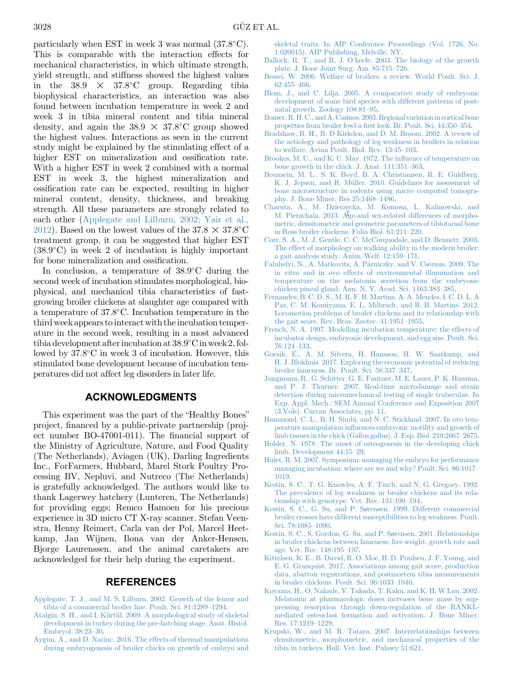<span id="page-8-0"></span>particularly when EST in week 3 was normal  $(37.8^{\circ}C)$ . This is comparable with the interaction effects for mechanical characteristics, in which ultimate strength, yield strength, and stiffness showed the highest values in the  $38.9 \times 37.8^{\circ}$ C group. Regarding tibia biophysical characteristics, an interaction was also found between incubation temperature in week 2 and week 3 in tibia mineral content and tibia mineral density, and again the  $38.9 \times 37.8^{\circ}$ C group showed the highest values. Interactions as seen in the current study might be explained by the stimulating effect of a higher EST on mineralization and ossification rate. With a higher EST in week 2 combined with a normal EST in week 3, the highest mineralization and ossification rate can be expected, resulting in higher mineral content, density, thickness, and breaking strength. All these parameters are strongly related to each other (Applegate and Lilburn, 2002; Yair et al., 2012). Based on the lowest values of the  $37.8 \times 37.8^{\circ}$ C treatment group, it can be suggested that higher EST  $(38.9^{\circ}C)$  in week 2 of incubation is highly important for bone mineralization and ossification.

In conclusion, a temperature of  $38.9^{\circ}$ C during the second week of incubation stimulates morphological, biophysical, and mechanical tibia characteristics of fastgrowing broiler chickens at slaughter age compared with a temperature of  $37.8^{\circ}$ C. Incubation temperature in the third week appears to interact with the incubation temperature in the second week, resulting in a most advanced tibia development after incubation at  $38.9^{\circ}$ C in week 2, followed by  $37.8^{\circ}$ C in week 3 of incubation. However, this stimulated bone development because of incubation temperatures did not affect leg disorders in later life.

## ACKNOWLEDGMENTS

This experiment was the part of the "Healthy Bones" project, financed by a public-private partnership (project number BO-47001-011). The financial support of the Ministry of Agriculture, Nature, and Food Quality (The Netherlands), Aviagen (UK), Darling Ingredients Inc., ForFarmers, Hubbard, Marel Stork Poultry Processing BV, Nepluvi, and Nutreco (The Netherlands) is gratefully acknowledged. The authors would like to thank Lagerwey hatchery (Lunteren, The Netherlands) for providing eggs; Remco Hamoen for his precious experience in 3D micro CT X-ray scanner. Stefan Veenstra, Henny Reimert, Carla van der Pol, Marcel Heetkamp, Jan Wijnen, Ilona van der Anker-Hensen, Bjorge Laurenssen, and the animal caretakers are acknowledged for their help during the experiment.

## REFERENCES

- [Applegate, T. J., and M. S. Lilburn. 2002. Growth of the femur and](http://refhub.elsevier.com/S0032-5791(20)30050-X/sref1) [tibia of a commercial broiler line. Poult. Sci. 81:1289](http://refhub.elsevier.com/S0032-5791(20)30050-X/sref1)–1294.
- [Atalgin, S. H., and I. K](http://refhub.elsevier.com/S0032-5791(20)30050-X/sref2)ü[rt](http://refhub.elsevier.com/S0032-5791(20)30050-X/sref2)ül. 2009. A morphological study of skeletal [development in turkey during the pre-hatching stage. Anat. Histol.](http://refhub.elsevier.com/S0032-5791(20)30050-X/sref2) [Embryol. 38:23](http://refhub.elsevier.com/S0032-5791(20)30050-X/sref2)–30.
- [Aygun, A., and D. Narinc. 2016. The effects of thermal manipulations](http://refhub.elsevier.com/S0032-5791(20)30050-X/sref3) [during embryogenesis of broiler chicks on growth of embryo and](http://refhub.elsevier.com/S0032-5791(20)30050-X/sref3)

[skeletal traits. In AIP Conference Proceedings \(Vol. 1726, No.](http://refhub.elsevier.com/S0032-5791(20)30050-X/sref3) [1:020015\). AIP Publishing, Melville, NY](http://refhub.elsevier.com/S0032-5791(20)30050-X/sref3).

- Ballock, R. T., and R. J. O'[keefe. 2003. The biology of the growth](http://refhub.elsevier.com/S0032-5791(20)30050-X/sref4) [plate. J. Bone Joint Surg. Am. 85:715](http://refhub.elsevier.com/S0032-5791(20)30050-X/sref4)–726.
- [Bessei, W. 2006. Welfare of broilers: a review. World Poult. Sci. J.](http://refhub.elsevier.com/S0032-5791(20)30050-X/sref5) [62:455](http://refhub.elsevier.com/S0032-5791(20)30050-X/sref5)–466.
- [Blom, J., and C. Lilja. 2005. A comparative study of embryonic](http://refhub.elsevier.com/S0032-5791(20)30050-X/sref6) [development of some bird species with different patterns of post](http://refhub.elsevier.com/S0032-5791(20)30050-X/sref6)[natal growth. Zoology 108:81](http://refhub.elsevier.com/S0032-5791(20)30050-X/sref6)–95.
- [Bonser, R. H. C., and A. Casinos. 2003. Regional variation in cortical bone](http://refhub.elsevier.com/S0032-5791(20)30050-X/sref7) properties from broiler fowl-a fi[rst look. Br. Poult. Sci. 44:350](http://refhub.elsevier.com/S0032-5791(20)30050-X/sref7)–354.
- [Bradshaw, R. H., R. D Kirkden, and D. M. Broom. 2002. A review of](http://refhub.elsevier.com/S0032-5791(20)30050-X/sref8) [the aetiology and pathology of leg weakness in broilers in relation](http://refhub.elsevier.com/S0032-5791(20)30050-X/sref8) [to welfare. Avian Poult. Biol. Rev. 13:45](http://refhub.elsevier.com/S0032-5791(20)30050-X/sref8)–103.
- [Brookes, M. U., and K. U. May. 1972. The in](http://refhub.elsevier.com/S0032-5791(20)30050-X/sref9)fluence of temperature on [bone growth in the chick. J. Anat. 111:351](http://refhub.elsevier.com/S0032-5791(20)30050-X/sref9)–363.
- [Bouxsein, M. L., S. K. Boyd, B. A. Christiansen, R. E. Guldberg,](http://refhub.elsevier.com/S0032-5791(20)30050-X/sref58) K. J. Jepsen, and R. Müller. 2010. Guidelines for assessment of [bone microstructure in rodents using micro](http://refhub.elsevier.com/S0032-5791(20)30050-X/sref58)–computed tomogra[phy. J. Bone Miner. Res 25:1468](http://refhub.elsevier.com/S0032-5791(20)30050-X/sref58)–1486.
- [Charuta, A., M. Dzierz](http://refhub.elsevier.com/S0032-5791(20)30050-X/sref10)ę[cka, M. Komosa, L. Kalinowski, and](http://refhub.elsevier.com/S0032-5791(20)30050-X/sref10) M. Pierzchala. 2013. Age-and sex-related differences of morpho-[M. Pierzchala. 2013. Age-and sex-related differences of morpho](http://refhub.elsevier.com/S0032-5791(20)30050-X/sref10)[metric, densitometric and geometric parameters of tibiotarsal bone](http://refhub.elsevier.com/S0032-5791(20)30050-X/sref10) [in Ross broiler chickens. Folia Biol. 61:211](http://refhub.elsevier.com/S0032-5791(20)30050-X/sref10)–220.
- [Corr, S. A., M. J. Gentle, C. C. McCorquodale, and D. Bennett. 2003.](http://refhub.elsevier.com/S0032-5791(20)30050-X/sref11) [The effect of morphology on walking ability in the modern broiler:](http://refhub.elsevier.com/S0032-5791(20)30050-X/sref11) [a gait analysis study. Anim. Welf. 12:159](http://refhub.elsevier.com/S0032-5791(20)30050-X/sref11)–171.
- [Faluhelyi, N., A. Matkovits, A. P](http://refhub.elsevier.com/S0032-5791(20)30050-X/sref13)árniczky, and V. Csernus. 2009. The [in vitro and in ovo effects of environmental illumination and](http://refhub.elsevier.com/S0032-5791(20)30050-X/sref13) [temperature on the melatonin secretion from the embryonic](http://refhub.elsevier.com/S0032-5791(20)30050-X/sref13) [chicken pineal gland. Ann. N. Y. Acad. Sci. 1163:383](http://refhub.elsevier.com/S0032-5791(20)30050-X/sref13)–385.
- [Fernandes, B. C. D. S., M. R. F. B. Martins, A. A. Mendes, I. C. D. L. A](http://refhub.elsevier.com/S0032-5791(20)30050-X/sref14) [Paz, C. M. Komiyama, E. L. Milbradt, and B. B. Martins. 2012.](http://refhub.elsevier.com/S0032-5791(20)30050-X/sref14) [Locomotion problems of broiler chickens and its relationship with](http://refhub.elsevier.com/S0032-5791(20)30050-X/sref14) [the gait score. Rev. Bras. Zootec. 41:1951](http://refhub.elsevier.com/S0032-5791(20)30050-X/sref14)–1955.
- [French, N. A. 1997. Modelling incubation temperature: the effects of](http://refhub.elsevier.com/S0032-5791(20)30050-X/sref15) [incubator design, embryonic development, and egg size. Poult. Sci.](http://refhub.elsevier.com/S0032-5791(20)30050-X/sref15) [76:124](http://refhub.elsevier.com/S0032-5791(20)30050-X/sref15)–133.
- [Gocsik,](http://refhub.elsevier.com/S0032-5791(20)30050-X/sref16) [E., A. M. Silvera, H. Hansson, H. W. Saatkamp, and](http://refhub.elsevier.com/S0032-5791(20)30050-X/sref16) [H. J. Blokhuis. 2017. Exploring the economic potential of reducing](http://refhub.elsevier.com/S0032-5791(20)30050-X/sref16) [broiler lameness. Br. Poult. Sci. 58:337](http://refhub.elsevier.com/S0032-5791(20)30050-X/sref16)–347.
- [Jungmann, R., G. Schitter, G. E. Fantner, M. E. Lauer, P. K. Hansma,](http://refhub.elsevier.com/S0032-5791(20)30050-X/sref59) [and P. J. Thurner. 2007. Real-time microdamage and strain](http://refhub.elsevier.com/S0032-5791(20)30050-X/sref59) [detection during micromechanical testing of single trabeculae. In](http://refhub.elsevier.com/S0032-5791(20)30050-X/sref59) [Exp. Appl. Mech.: SEM Annual Conference and Exposition 2007](http://refhub.elsevier.com/S0032-5791(20)30050-X/sref59) [\(3 Vols\). Curran Associates, pp. 11.](http://refhub.elsevier.com/S0032-5791(20)30050-X/sref59)
- [Hammond, C. L., B. H. Simbi, and N. C. Stickland. 2007. In ovo tem](http://refhub.elsevier.com/S0032-5791(20)30050-X/sref17)perature manipulation infl[uences embryonic motility and growth of](http://refhub.elsevier.com/S0032-5791(20)30050-X/sref17) [limb tissues in the chick \(Gallus gallus\). J. Exp. Biol. 210:2667](http://refhub.elsevier.com/S0032-5791(20)30050-X/sref17)–2675.
- [Holder, N. 1978. The onset of osteogenesis in the developing chick](http://refhub.elsevier.com/S0032-5791(20)30050-X/sref18) [limb. Development 44:15](http://refhub.elsevier.com/S0032-5791(20)30050-X/sref18)–29.
- [Hulet, R. M. 2007. Symposium: managing the embryo for performance](http://refhub.elsevier.com/S0032-5791(20)30050-X/sref19) [managing incubation: where are we and why? Poult. Sci. 86:1017](http://refhub.elsevier.com/S0032-5791(20)30050-X/sref19)– [1019](http://refhub.elsevier.com/S0032-5791(20)30050-X/sref19).
- [Kestin, S. C., T. G. Knowles, A. F. Tinch, and N. G. Gregory. 1992.](http://refhub.elsevier.com/S0032-5791(20)30050-X/sref20) [The prevalence of leg weakness in broiler chickens and its rela](http://refhub.elsevier.com/S0032-5791(20)30050-X/sref20)[tionship with genotype. Vet. Rec. 131:190](http://refhub.elsevier.com/S0032-5791(20)30050-X/sref20)–194.
- [Kestin, S. C., G. Su, and P. S](http://refhub.elsevier.com/S0032-5791(20)30050-X/sref21)ø[rensen. 1999. Different commercial](http://refhub.elsevier.com/S0032-5791(20)30050-X/sref21) [broiler crosses have different susceptibilities to leg weakness. Poult.](http://refhub.elsevier.com/S0032-5791(20)30050-X/sref21) [Sci. 78:1085](http://refhub.elsevier.com/S0032-5791(20)30050-X/sref21)–1090.
- [Kestin, S. C., S. Gordon, G. Su, and P. S](http://refhub.elsevier.com/S0032-5791(20)30050-X/sref22)ø[rensen. 2001. Relationships](http://refhub.elsevier.com/S0032-5791(20)30050-X/sref22) [in broiler chickens between lameness, live weight, growth rate and](http://refhub.elsevier.com/S0032-5791(20)30050-X/sref22) [age. Vet. Rec. 148:195](http://refhub.elsevier.com/S0032-5791(20)30050-X/sref22)–197.
- [Kittelsen, K. E., B. David, R. O. Moe, H. D. Poulsen, J. F. Young, and](http://refhub.elsevier.com/S0032-5791(20)30050-X/sref23) [E. G. Granquist. 2017. Associations among gait score, production](http://refhub.elsevier.com/S0032-5791(20)30050-X/sref23) [data, abattoir registrations, and postmortem tibia measurements](http://refhub.elsevier.com/S0032-5791(20)30050-X/sref23) [in broiler chickens. Poult. Sci. 96:1033](http://refhub.elsevier.com/S0032-5791(20)30050-X/sref23)–1040.
- [Koyama, H., O. Nakade, Y. Takada, T. Kaku, and K. H. W Lau. 2002.](http://refhub.elsevier.com/S0032-5791(20)30050-X/sref24) [Melatonin at pharmacologic doses increases bone mass by sup](http://refhub.elsevier.com/S0032-5791(20)30050-X/sref24)[pressing resorption through down-regulation of the RANKL](http://refhub.elsevier.com/S0032-5791(20)30050-X/sref24)[mediated osteoclast formation and activation. J. Bone Miner.](http://refhub.elsevier.com/S0032-5791(20)30050-X/sref24) [Res. 17:1219](http://refhub.elsevier.com/S0032-5791(20)30050-X/sref24)–1229.
- [Krupski, W., and M. R. Tatara. 2007. Interrelationships between](http://refhub.elsevier.com/S0032-5791(20)30050-X/sref25) [densitometric, morphometric, and mechanical properties of the](http://refhub.elsevier.com/S0032-5791(20)30050-X/sref25) [tibia in turkeys. Bull. Vet. Inst. Pulawy 51:621](http://refhub.elsevier.com/S0032-5791(20)30050-X/sref25).